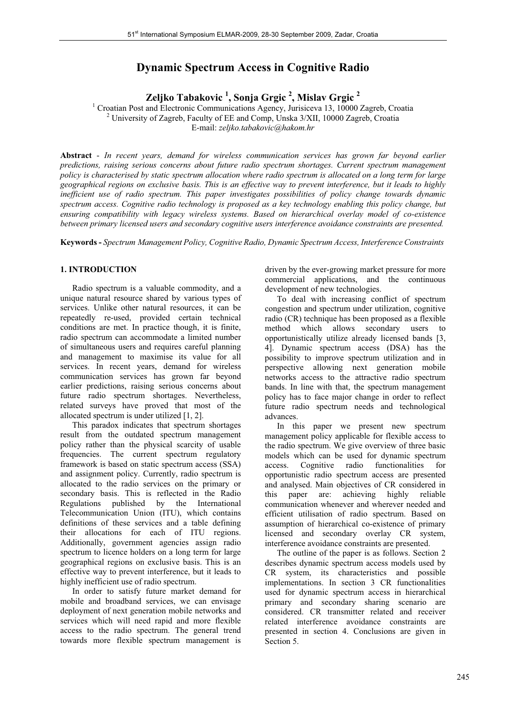# **Dynamic Spectrum Access in Cognitive Radio**

**Zeljko Tabakovic 1 , Sonja Grgic 2 , Mislav Grgic 2**

<sup>1</sup> Croatian Post and Electronic Communications Agency, Jurisiceva 13, 10000 Zagreb, Croatia <sup>2</sup> University of Zagreb, Foculty of EE and Comp. Unska 2/VII, 10000 Zagreb, Croatia University of Zagreb, Faculty of EE and Comp, Unska 3/XII, 10000 Zagreb, Croatia E-mail: *zeljko.tabakovic@hakom.hr*

**Abstract** - *In recent years, demand for wireless communication services has grown far beyond earlier predictions, raising serious concerns about future radio spectrum shortages. Current spectrum management policy is characterised by static spectrum allocation where radio spectrum is allocated on a long term for large geographical regions on exclusive basis. This is an effective way to prevent interference, but it leads to highly inefficient use of radio spectrum. This paper investigates possibilities of policy change towards dynamic spectrum access. Cognitive radio technology is proposed as a key technology enabling this policy change, but ensuring compatibility with legacy wireless systems. Based on hierarchical overlay model of co-existence between primary licensed users and secondary cognitive users interference avoidance constraints are presented.* 

**Keywords -** *Spectrum Management Policy, Cognitive Radio, Dynamic Spectrum Access, Interference Constraints*

# **1. INTRODUCTION**

 Radio spectrum is a valuable commodity, and a unique natural resource shared by various types of services. Unlike other natural resources, it can be repeatedly re-used, provided certain technical conditions are met. In practice though, it is finite, radio spectrum can accommodate a limited number of simultaneous users and requires careful planning and management to maximise its value for all services. In recent years, demand for wireless communication services has grown far beyond earlier predictions, raising serious concerns about future radio spectrum shortages. Nevertheless, related surveys have proved that most of the allocated spectrum is under utilized [1, 2].

 This paradox indicates that spectrum shortages result from the outdated spectrum management policy rather than the physical scarcity of usable frequencies. The current spectrum regulatory framework is based on static spectrum access (SSA) and assignment policy. Currently, radio spectrum is allocated to the radio services on the primary or secondary basis. This is reflected in the Radio Regulations published by the International Telecommunication Union (ITU), which contains definitions of these services and a table defining their allocations for each of ITU regions. Additionally, government agencies assign radio spectrum to licence holders on a long term for large geographical regions on exclusive basis. This is an effective way to prevent interference, but it leads to highly inefficient use of radio spectrum.

 In order to satisfy future market demand for mobile and broadband services, we can envisage deployment of next generation mobile networks and services which will need rapid and more flexible access to the radio spectrum. The general trend towards more flexible spectrum management is driven by the ever-growing market pressure for more commercial applications, and the continuous development of new technologies.

 To deal with increasing conflict of spectrum congestion and spectrum under utilization, cognitive radio (CR) technique has been proposed as a flexible method which allows secondary users to opportunistically utilize already licensed bands [3, 4]. Dynamic spectrum access (DSA) has the possibility to improve spectrum utilization and in perspective allowing next generation mobile networks access to the attractive radio spectrum bands. In line with that, the spectrum management policy has to face major change in order to reflect future radio spectrum needs and technological advances.

 In this paper we present new spectrum management policy applicable for flexible access to the radio spectrum. We give overview of three basic models which can be used for dynamic spectrum access. Cognitive radio functionalities for opportunistic radio spectrum access are presented and analysed. Main objectives of CR considered in this paper are: achieving highly reliable communication whenever and wherever needed and efficient utilisation of radio spectrum. Based on assumption of hierarchical co-existence of primary licensed and secondary overlay CR system, interference avoidance constraints are presented.

 The outline of the paper is as follows. Section 2 describes dynamic spectrum access models used by CR system, its characteristics and possible implementations. In section 3 CR functionalities used for dynamic spectrum access in hierarchical primary and secondary sharing scenario are considered. CR transmitter related and receiver related interference avoidance constraints are presented in section 4. Conclusions are given in Section 5.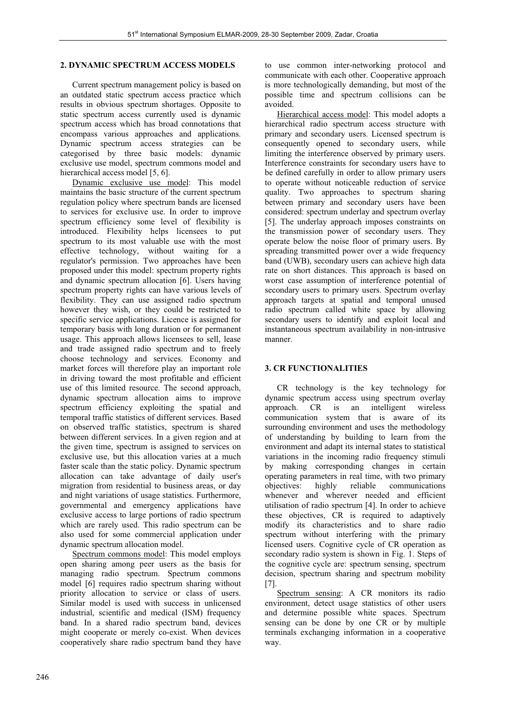#### **2. DYNAMIC SPECTRUM ACCESS MODELS**

 Current spectrum management policy is based on an outdated static spectrum access practice which results in obvious spectrum shortages. Opposite to static spectrum access currently used is dynamic spectrum access which has broad connotations that encompass various approaches and applications. Dynamic spectrum access strategies can be categorised by three basic models: dynamic exclusive use model, spectrum commons model and hierarchical access model [5, 6].

 Dynamic exclusive use model: This model maintains the basic structure of the current spectrum regulation policy where spectrum bands are licensed to services for exclusive use. In order to improve spectrum efficiency some level of flexibility is introduced. Flexibility helps licensees to put spectrum to its most valuable use with the most effective technology, without waiting for a regulator's permission. Two approaches have been proposed under this model: spectrum property rights and dynamic spectrum allocation [6]. Users having spectrum property rights can have various levels of flexibility. They can use assigned radio spectrum however they wish, or they could be restricted to specific service applications. Licence is assigned for temporary basis with long duration or for permanent usage. This approach allows licensees to sell, lease and trade assigned radio spectrum and to freely choose technology and services. Economy and market forces will therefore play an important role in driving toward the most profitable and efficient use of this limited resource. The second approach, dynamic spectrum allocation aims to improve spectrum efficiency exploiting the spatial and temporal traffic statistics of different services. Based on observed traffic statistics, spectrum is shared between different services. In a given region and at the given time, spectrum is assigned to services on exclusive use, but this allocation varies at a much faster scale than the static policy. Dynamic spectrum allocation can take advantage of daily user's migration from residential to business areas, or day and night variations of usage statistics. Furthermore, governmental and emergency applications have exclusive access to large portions of radio spectrum which are rarely used. This radio spectrum can be also used for some commercial application under dynamic spectrum allocation model.

Spectrum commons model: This model employs open sharing among peer users as the basis for managing radio spectrum. Spectrum commons model [6] requires radio spectrum sharing without priority allocation to service or class of users. Similar model is used with success in unlicensed industrial, scientific and medical (ISM) frequency band. In a shared radio spectrum band, devices might cooperate or merely co-exist. When devices cooperatively share radio spectrum band they have to use common inter-networking protocol and communicate with each other. Cooperative approach is more technologically demanding, but most of the possible time and spectrum collisions can be avoided.

 Hierarchical access model: This model adopts a hierarchical radio spectrum access structure with primary and secondary users. Licensed spectrum is consequently opened to secondary users, while limiting the interference observed by primary users. Interference constraints for secondary users have to be defined carefully in order to allow primary users to operate without noticeable reduction of service quality. Two approaches to spectrum sharing between primary and secondary users have been considered: spectrum underlay and spectrum overlay [5]. The underlay approach imposes constraints on the transmission power of secondary users. They operate below the noise floor of primary users. By spreading transmitted power over a wide frequency band (UWB), secondary users can achieve high data rate on short distances. This approach is based on worst case assumption of interference potential of secondary users to primary users. Spectrum overlay approach targets at spatial and temporal unused radio spectrum called white space by allowing secondary users to identify and exploit local and instantaneous spectrum availability in non-intrusive manner.

# **3. CR FUNCTIONALITIES**

 CR technology is the key technology for dynamic spectrum access using spectrum overlay approach. CR is an intelligent wireless communication system that is aware of its surrounding environment and uses the methodology of understanding by building to learn from the environment and adapt its internal states to statistical variations in the incoming radio frequency stimuli by making corresponding changes in certain operating parameters in real time, with two primary<br>objectives: highly reliable communications objectives: highly reliable whenever and wherever needed and efficient utilisation of radio spectrum [4]. In order to achieve these objectives, CR is required to adaptively modify its characteristics and to share radio spectrum without interfering with the primary licensed users. Cognitive cycle of CR operation as secondary radio system is shown in Fig. 1. Steps of the cognitive cycle are: spectrum sensing, spectrum decision, spectrum sharing and spectrum mobility [7].

 Spectrum sensing: A CR monitors its radio environment, detect usage statistics of other users and determine possible white spaces. Spectrum sensing can be done by one CR or by multiple terminals exchanging information in a cooperative way.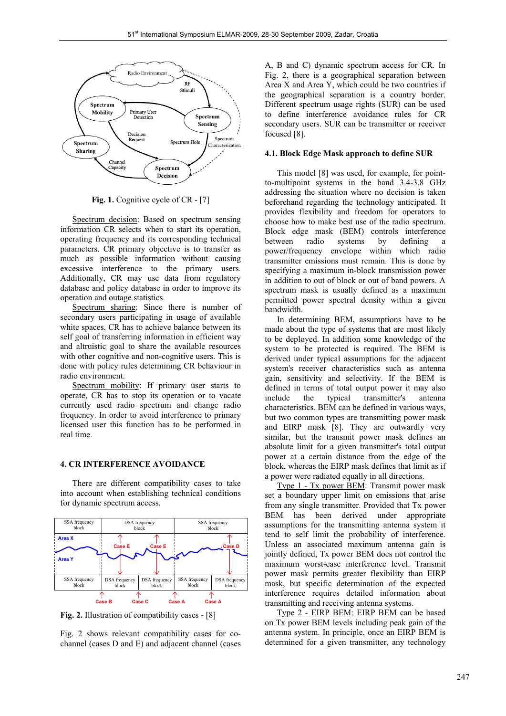

Fig. 1. Cognitive cycle of CR - [7]

 Spectrum decision: Based on spectrum sensing information CR selects when to start its operation, operating frequency and its corresponding technical parameters. CR primary objective is to transfer as much as possible information without causing excessive interference to the primary users. Additionally, CR may use data from regulatory database and policy database in order to improve its operation and outage statistics.

 Spectrum sharing: Since there is number of secondary users participating in usage of available white spaces, CR has to achieve balance between its self goal of transferring information in efficient way and altruistic goal to share the available resources with other cognitive and non-cognitive users. This is done with policy rules determining CR behaviour in radio environment.

Spectrum mobility: If primary user starts to operate, CR has to stop its operation or to vacate currently used radio spectrum and change radio frequency. In order to avoid interference to primary licensed user this function has to be performed in real time.

#### **4. CR INTERFERENCE AVOIDANCE**

 There are different compatibility cases to take into account when establishing technical conditions for dynamic spectrum access.



**Fig. 2.** Illustration of compatibility cases - [8]

Fig. 2 shows relevant compatibility cases for cochannel (cases D and E) and adjacent channel (cases A, B and C) dynamic spectrum access for CR. In Fig. 2, there is a geographical separation between Area X and Area Y, which could be two countries if the geographical separation is a country border. Different spectrum usage rights (SUR) can be used to define interference avoidance rules for CR secondary users. SUR can be transmitter or receiver focused [8].

#### **4.1. Block Edge Mask approach to define SUR**

 This model [8] was used, for example, for pointto-multipoint systems in the band 3.4-3.8 GHz addressing the situation where no decision is taken beforehand regarding the technology anticipated. It provides flexibility and freedom for operators to choose how to make best use of the radio spectrum. Block edge mask (BEM) controls interference between radio systems by defining a power/frequency envelope within which radio transmitter emissions must remain. This is done by specifying a maximum in-block transmission power in addition to out of block or out of band powers. A spectrum mask is usually defined as a maximum permitted power spectral density within a given bandwidth.

 In determining BEM, assumptions have to be made about the type of systems that are most likely to be deployed. In addition some knowledge of the system to be protected is required. The BEM is derived under typical assumptions for the adjacent system's receiver characteristics such as antenna gain, sensitivity and selectivity. If the BEM is defined in terms of total output power it may also include the typical transmitter's antenna characteristics. BEM can be defined in various ways, but two common types are transmitting power mask and EIRP mask [8]. They are outwardly very similar, but the transmit power mask defines an absolute limit for a given transmitter's total output power at a certain distance from the edge of the block, whereas the EIRP mask defines that limit as if a power were radiated equally in all directions.

 Type 1 - Tx power BEM: Transmit power mask set a boundary upper limit on emissions that arise from any single transmitter. Provided that Tx power BEM has been derived under appropriate assumptions for the transmitting antenna system it tend to self limit the probability of interference. Unless an associated maximum antenna gain is jointly defined, Tx power BEM does not control the maximum worst-case interference level. Transmit power mask permits greater flexibility than EIRP mask, but specific determination of the expected interference requires detailed information about transmitting and receiving antenna systems.

 Type 2 - EIRP BEM: EIRP BEM can be based on Tx power BEM levels including peak gain of the antenna system. In principle, once an EIRP BEM is determined for a given transmitter, any technology